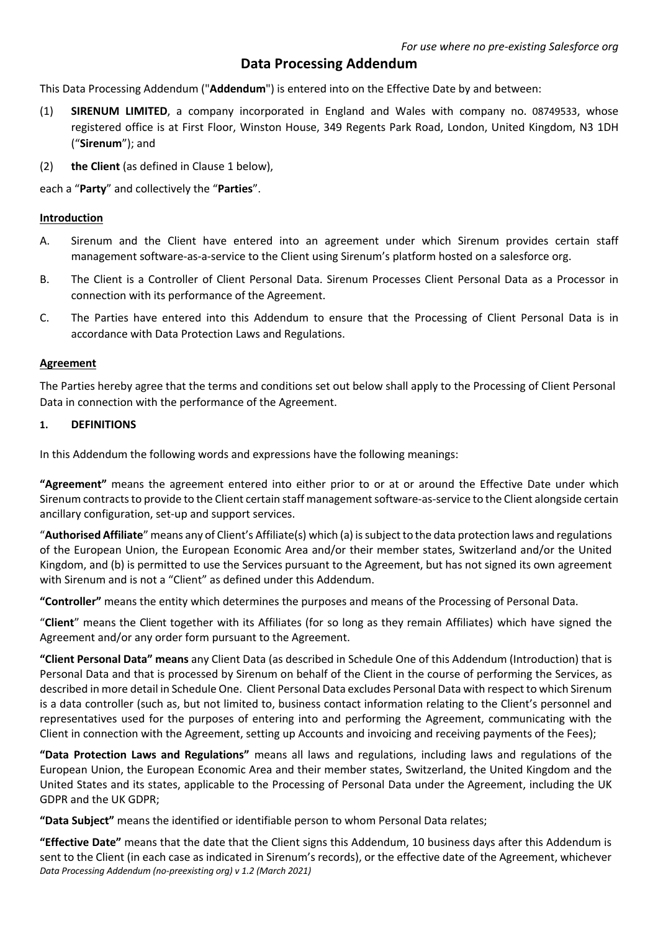# **Data Processing Addendum**

This Data Processing Addendum ("**Addendum**") is entered into on the Effective Date by and between:

- (1) **SIRENUM LIMITED**, a company incorporated in England and Wales with company no. 08749533, whose registered office is at First Floor, Winston House, 349 Regents Park Road, London, United Kingdom, N3 1DH ("**Sirenum**"); and
- (2) **the Client** (as defined in Clause 1 below),

each a "**Party**" and collectively the "**Parties**".

### **Introduction**

- A. Sirenum and the Client have entered into an agreement under which Sirenum provides certain staff management software-as-a-service to the Client using Sirenum's platform hosted on a salesforce org.
- B. The Client is a Controller of Client Personal Data. Sirenum Processes Client Personal Data as a Processor in connection with its performance of the Agreement.
- C. The Parties have entered into this Addendum to ensure that the Processing of Client Personal Data is in accordance with Data Protection Laws and Regulations.

### **Agreement**

The Parties hereby agree that the terms and conditions set out below shall apply to the Processing of Client Personal Data in connection with the performance of the Agreement.

#### **1. DEFINITIONS**

In this Addendum the following words and expressions have the following meanings:

**"Agreement"** means the agreement entered into either prior to or at or around the Effective Date under which Sirenum contracts to provide to the Client certain staff management software-as-service to the Client alongside certain ancillary configuration, set-up and support services.

"**Authorised Affiliate**" means any of Client's Affiliate(s) which (a) issubjectto the data protection laws and regulations of the European Union, the European Economic Area and/or their member states, Switzerland and/or the United Kingdom, and (b) is permitted to use the Services pursuant to the Agreement, but has not signed its own agreement with Sirenum and is not a "Client" as defined under this Addendum.

**"Controller"** means the entity which determines the purposes and means of the Processing of Personal Data.

"**Client**" means the Client together with its Affiliates (for so long as they remain Affiliates) which have signed the Agreement and/or any order form pursuant to the Agreement.

**"Client Personal Data" means** any Client Data (as described in Schedule One of this Addendum (Introduction) that is Personal Data and that is processed by Sirenum on behalf of the Client in the course of performing the Services, as described in more detail in Schedule One. Client Personal Data excludes Personal Data with respect to which Sirenum is a data controller (such as, but not limited to, business contact information relating to the Client's personnel and representatives used for the purposes of entering into and performing the Agreement, communicating with the Client in connection with the Agreement, setting up Accounts and invoicing and receiving payments of the Fees);

**"Data Protection Laws and Regulations"** means all laws and regulations, including laws and regulations of the European Union, the European Economic Area and their member states, Switzerland, the United Kingdom and the United States and its states, applicable to the Processing of Personal Data under the Agreement, including the UK GDPR and the UK GDPR;

**"Data Subject"** means the identified or identifiable person to whom Personal Data relates;

*Data Processing Addendum (no-preexisting org) v 1.2 (March 2021)* **"Effective Date"** means that the date that the Client signs this Addendum, 10 business days after this Addendum is sent to the Client (in each case as indicated in Sirenum's records), or the effective date of the Agreement, whichever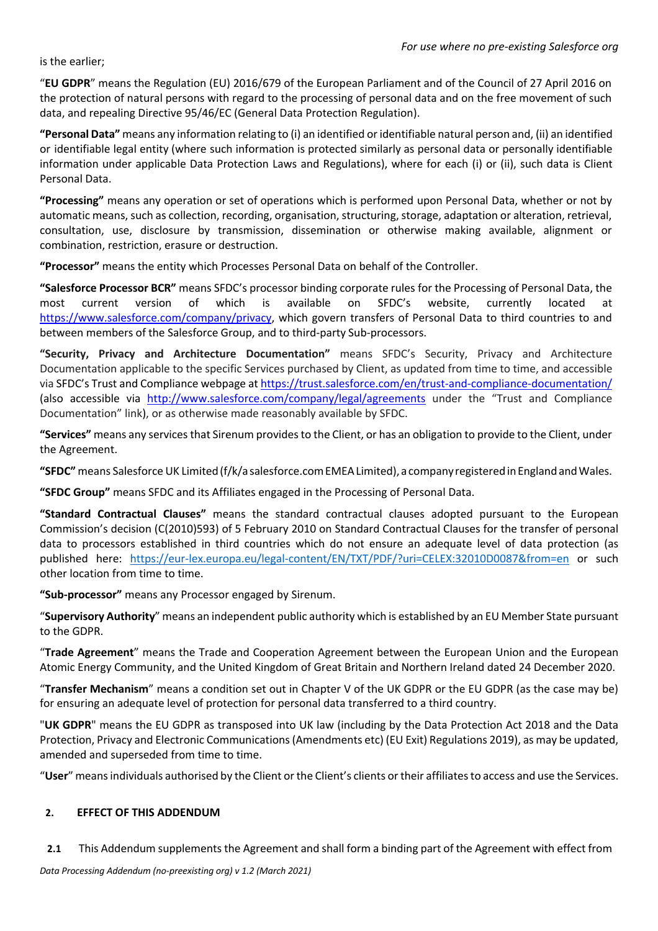is the earlier;

"**EU GDPR**" means the Regulation (EU) 2016/679 of the European Parliament and of the Council of 27 April 2016 on the protection of natural persons with regard to the processing of personal data and on the free movement of such data, and repealing Directive 95/46/EC (General Data Protection Regulation).

**"Personal Data"** means any information relating to (i) an identified or identifiable natural person and, (ii) an identified or identifiable legal entity (where such information is protected similarly as personal data or personally identifiable information under applicable Data Protection Laws and Regulations), where for each (i) or (ii), such data is Client Personal Data.

**"Processing"** means any operation or set of operations which is performed upon Personal Data, whether or not by automatic means, such as collection, recording, organisation, structuring, storage, adaptation or alteration, retrieval, consultation, use, disclosure by transmission, dissemination or otherwise making available, alignment or combination, restriction, erasure or destruction.

**"Processor"** means the entity which Processes Personal Data on behalf of the Controller.

**"Salesforce Processor BCR"** means SFDC's processor binding corporate rules for the Processing of Personal Data, the most current version of which is available on SFDC's website, currently located at https://www.salesforce.com/company/privacy, which govern transfers of Personal Data to third countries to and between members of the Salesforce Group, and to third-party Sub-processors.

**"Security, Privacy and Architecture Documentation"** means SFDC's Security, Privacy and Architecture Documentation applicable to the specific Services purchased by Client, as updated from time to time, and accessible via SFDC's Trust and Compliance webpage at https://trust.salesforce.com/en/trust-and-compliance-documentation/ (also accessible via http://www.salesforce.com/company/legal/agreements under the "Trust and Compliance Documentation" link), or as otherwise made reasonably available by SFDC.

**"Services"** means any services that Sirenum provides to the Client, or has an obligation to provide to the Client, under the Agreement.

**"SFDC"** means Salesforce UK Limited (f/k/a salesforce.com EMEA Limited), a company registered in England and Wales.

**"SFDC Group"** means SFDC and its Affiliates engaged in the Processing of Personal Data.

**"Standard Contractual Clauses"** means the standard contractual clauses adopted pursuant to the European Commission's decision (C(2010)593) of 5 February 2010 on Standard Contractual Clauses for the transfer of personal data to processors established in third countries which do not ensure an adequate level of data protection (as published here: https://eur-lex.europa.eu/legal-content/EN/TXT/PDF/?uri=CELEX:32010D0087&from=en or such other location from time to time.

**"Sub-processor"** means any Processor engaged by Sirenum.

"**Supervisory Authority**" means an independent public authority which is established by an EU Member State pursuant to the GDPR.

"**Trade Agreement**" means the Trade and Cooperation Agreement between the European Union and the European Atomic Energy Community, and the United Kingdom of Great Britain and Northern Ireland dated 24 December 2020.

"**Transfer Mechanism**" means a condition set out in Chapter V of the UK GDPR or the EU GDPR (as the case may be) for ensuring an adequate level of protection for personal data transferred to a third country.

"**UK GDPR**" means the EU GDPR as transposed into UK law (including by the Data Protection Act 2018 and the Data Protection, Privacy and Electronic Communications (Amendments etc) (EU Exit) Regulations 2019), as may be updated, amended and superseded from time to time.

"**User**" means individuals authorised by the Client or the Client's clients or their affiliates to access and use the Services.

## **2. EFFECT OF THIS ADDENDUM**

**2.1** This Addendum supplements the Agreement and shall form a binding part of the Agreement with effect from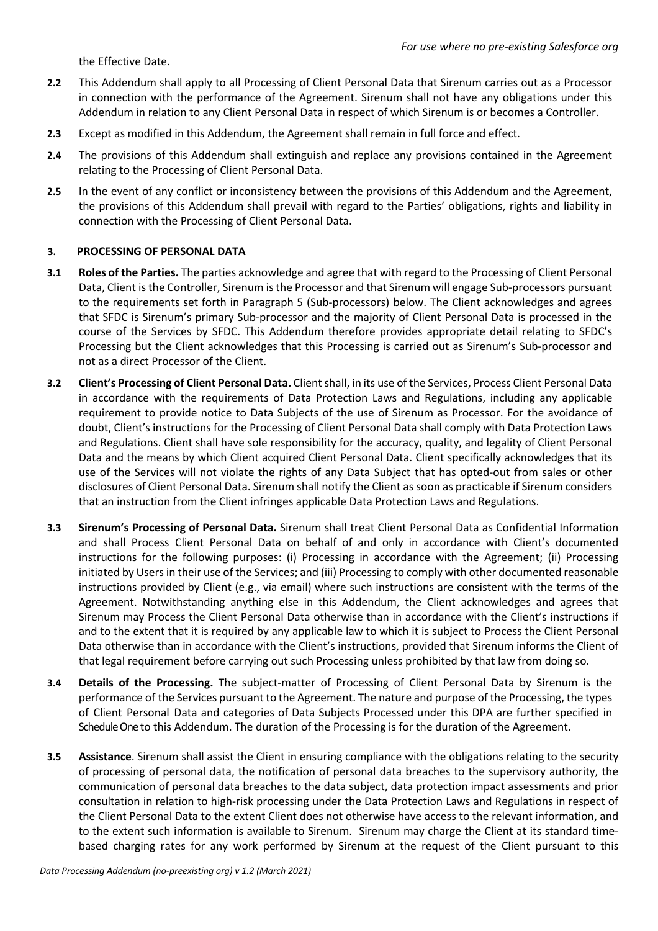the Effective Date.

- **2.2** This Addendum shall apply to all Processing of Client Personal Data that Sirenum carries out as a Processor in connection with the performance of the Agreement. Sirenum shall not have any obligations under this Addendum in relation to any Client Personal Data in respect of which Sirenum is or becomes a Controller.
- **2.3** Except as modified in this Addendum, the Agreement shall remain in full force and effect.
- **2.4** The provisions of this Addendum shall extinguish and replace any provisions contained in the Agreement relating to the Processing of Client Personal Data.
- **2.5** In the event of any conflict or inconsistency between the provisions of this Addendum and the Agreement, the provisions of this Addendum shall prevail with regard to the Parties' obligations, rights and liability in connection with the Processing of Client Personal Data.

## **3. PROCESSING OF PERSONAL DATA**

- **3.1 Roles of the Parties.** The parties acknowledge and agree that with regard to the Processing of Client Personal Data, Client is the Controller, Sirenum isthe Processor and that Sirenum will engage Sub-processors pursuant to the requirements set forth in Paragraph 5 (Sub-processors) below. The Client acknowledges and agrees that SFDC is Sirenum's primary Sub-processor and the majority of Client Personal Data is processed in the course of the Services by SFDC. This Addendum therefore provides appropriate detail relating to SFDC's Processing but the Client acknowledges that this Processing is carried out as Sirenum's Sub-processor and not as a direct Processor of the Client.
- **3.2 Client's Processing of Client Personal Data.** Client shall, in its use of the Services, Process Client Personal Data in accordance with the requirements of Data Protection Laws and Regulations, including any applicable requirement to provide notice to Data Subjects of the use of Sirenum as Processor. For the avoidance of doubt, Client's instructions for the Processing of Client Personal Data shall comply with Data Protection Laws and Regulations. Client shall have sole responsibility for the accuracy, quality, and legality of Client Personal Data and the means by which Client acquired Client Personal Data. Client specifically acknowledges that its use of the Services will not violate the rights of any Data Subject that has opted-out from sales or other disclosures of Client Personal Data. Sirenum shall notify the Client as soon as practicable if Sirenum considers that an instruction from the Client infringes applicable Data Protection Laws and Regulations.
- **3.3 Sirenum's Processing of Personal Data.** Sirenum shall treat Client Personal Data as Confidential Information and shall Process Client Personal Data on behalf of and only in accordance with Client's documented instructions for the following purposes: (i) Processing in accordance with the Agreement; (ii) Processing initiated by Users in their use of the Services; and (iii) Processing to comply with other documented reasonable instructions provided by Client (e.g., via email) where such instructions are consistent with the terms of the Agreement. Notwithstanding anything else in this Addendum, the Client acknowledges and agrees that Sirenum may Process the Client Personal Data otherwise than in accordance with the Client's instructions if and to the extent that it is required by any applicable law to which it is subject to Process the Client Personal Data otherwise than in accordance with the Client's instructions, provided that Sirenum informs the Client of that legal requirement before carrying out such Processing unless prohibited by that law from doing so.
- **3.4 Details of the Processing.** The subject-matter of Processing of Client Personal Data by Sirenum is the performance of the Services pursuant to the Agreement. The nature and purpose of the Processing, the types of Client Personal Data and categories of Data Subjects Processed under this DPA are further specified in Schedule One to this Addendum. The duration of the Processing is for the duration of the Agreement.
- **3.5 Assistance**. Sirenum shall assist the Client in ensuring compliance with the obligations relating to the security of processing of personal data, the notification of personal data breaches to the supervisory authority, the communication of personal data breaches to the data subject, data protection impact assessments and prior consultation in relation to high-risk processing under the Data Protection Laws and Regulations in respect of the Client Personal Data to the extent Client does not otherwise have access to the relevant information, and to the extent such information is available to Sirenum. Sirenum may charge the Client at its standard timebased charging rates for any work performed by Sirenum at the request of the Client pursuant to this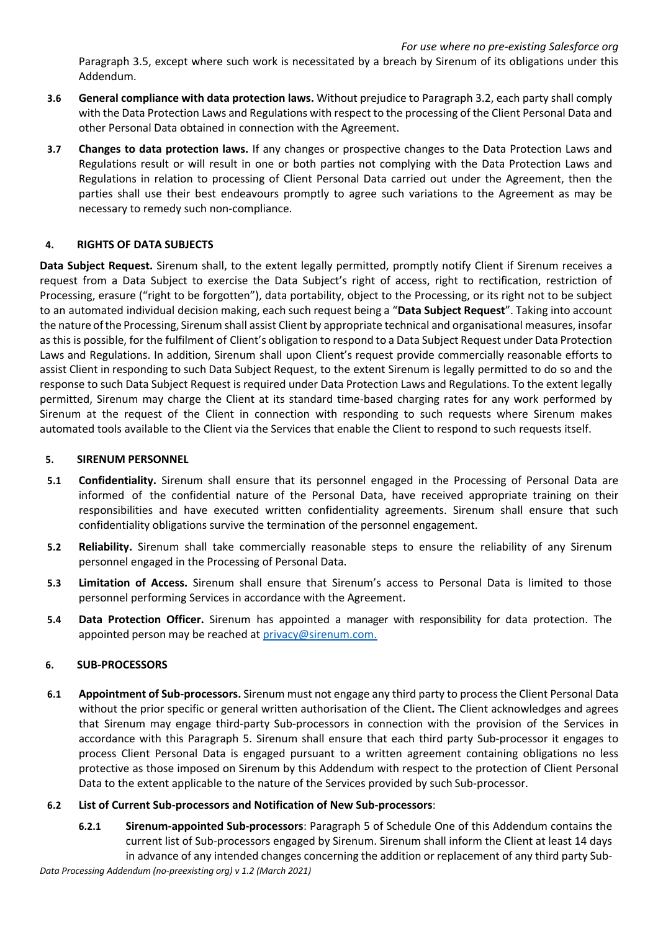Paragraph 3.5, except where such work is necessitated by a breach by Sirenum of its obligations under this Addendum.

- **3.6 General compliance with data protection laws.** Without prejudice to Paragraph 3.2, each party shall comply with the Data Protection Laws and Regulations with respect to the processing of the Client Personal Data and other Personal Data obtained in connection with the Agreement.
- **3.7 Changes to data protection laws.** If any changes or prospective changes to the Data Protection Laws and Regulations result or will result in one or both parties not complying with the Data Protection Laws and Regulations in relation to processing of Client Personal Data carried out under the Agreement, then the parties shall use their best endeavours promptly to agree such variations to the Agreement as may be necessary to remedy such non-compliance.

## **4. RIGHTS OF DATA SUBJECTS**

**Data Subject Request.** Sirenum shall, to the extent legally permitted, promptly notify Client if Sirenum receives a request from a Data Subject to exercise the Data Subject's right of access, right to rectification, restriction of Processing, erasure ("right to be forgotten"), data portability, object to the Processing, or its right not to be subject to an automated individual decision making, each such request being a "**Data Subject Request**". Taking into account the nature ofthe Processing, Sirenum shall assist Client by appropriate technical and organisational measures, insofar as this is possible, for the fulfilment of Client's obligation to respond to a Data Subject Request under Data Protection Laws and Regulations. In addition, Sirenum shall upon Client's request provide commercially reasonable efforts to assist Client in responding to such Data Subject Request, to the extent Sirenum is legally permitted to do so and the response to such Data Subject Request is required under Data Protection Laws and Regulations. To the extent legally permitted, Sirenum may charge the Client at its standard time-based charging rates for any work performed by Sirenum at the request of the Client in connection with responding to such requests where Sirenum makes automated tools available to the Client via the Services that enable the Client to respond to such requests itself.

## **5. SIRENUM PERSONNEL**

- **5.1 Confidentiality.** Sirenum shall ensure that its personnel engaged in the Processing of Personal Data are informed of the confidential nature of the Personal Data, have received appropriate training on their responsibilities and have executed written confidentiality agreements. Sirenum shall ensure that such confidentiality obligations survive the termination of the personnel engagement.
- **5.2 Reliability.** Sirenum shall take commercially reasonable steps to ensure the reliability of any Sirenum personnel engaged in the Processing of Personal Data.
- **5.3 Limitation of Access.** Sirenum shall ensure that Sirenum's access to Personal Data is limited to those personnel performing Services in accordance with the Agreement.
- **5.4 Data Protection Officer.** Sirenum has appointed a manager with responsibility for data protection. The appointed person may be reached at privacy@sirenum.com.

## **6. SUB-PROCESSORS**

**6.1 Appointment of Sub-processors.** Sirenum must not engage any third party to process the Client Personal Data without the prior specific or general written authorisation of the Client**.** The Client acknowledges and agrees that Sirenum may engage third-party Sub-processors in connection with the provision of the Services in accordance with this Paragraph 5. Sirenum shall ensure that each third party Sub-processor it engages to process Client Personal Data is engaged pursuant to a written agreement containing obligations no less protective as those imposed on Sirenum by this Addendum with respect to the protection of Client Personal Data to the extent applicable to the nature of the Services provided by such Sub-processor.

## **6.2 List of Current Sub-processors and Notification of New Sub-processors**:

**6.2.1 Sirenum-appointed Sub-processors**: Paragraph 5 of Schedule One of this Addendum contains the current list of Sub-processors engaged by Sirenum. Sirenum shall inform the Client at least 14 days in advance of any intended changes concerning the addition or replacement of any third party Sub-

*Data Processing Addendum (no-preexisting org) v 1.2 (March 2021)*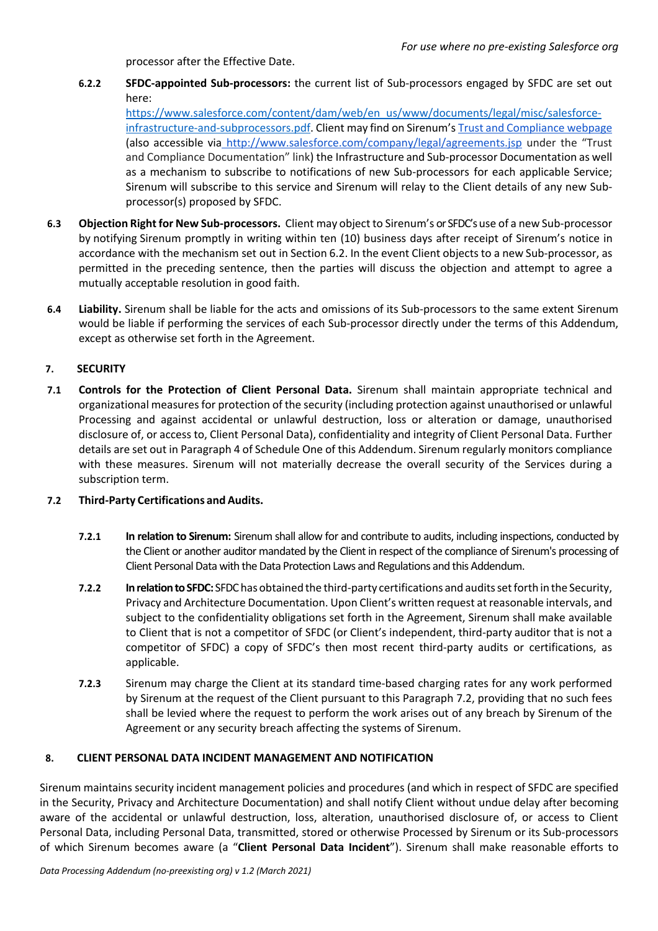processor after the Effective Date.

**6.2.2 SFDC-appointed Sub-processors:** the current list of Sub-processors engaged by SFDC are set out here:

https://www.salesforce.com/content/dam/web/en\_us/www/documents/legal/misc/salesforceinfrastructure-and-subprocessors.pdf. Client may find on Sirenum's Trust and Compliance webpage (also accessible via http://www.salesforce.com/company/legal/agreements.jsp under the "Trust and Compliance Documentation" link) the Infrastructure and Sub-processor Documentation as well as a mechanism to subscribe to notifications of new Sub-processors for each applicable Service; Sirenum will subscribe to this service and Sirenum will relay to the Client details of any new Subprocessor(s) proposed by SFDC.

- **6.3 Objection Right for New Sub-processors.** Client may object to Sirenum's or SFDC's use of a new Sub-processor by notifying Sirenum promptly in writing within ten (10) business days after receipt of Sirenum's notice in accordance with the mechanism set out in Section 6.2. In the event Client objects to a new Sub-processor, as permitted in the preceding sentence, then the parties will discuss the objection and attempt to agree a mutually acceptable resolution in good faith.
- **6.4 Liability.** Sirenum shall be liable for the acts and omissions of its Sub-processors to the same extent Sirenum would be liable if performing the services of each Sub-processor directly under the terms of this Addendum, except as otherwise set forth in the Agreement.

## **7. SECURITY**

**7.1 Controls for the Protection of Client Personal Data.** Sirenum shall maintain appropriate technical and organizational measures for protection of the security (including protection against unauthorised or unlawful Processing and against accidental or unlawful destruction, loss or alteration or damage, unauthorised disclosure of, or access to, Client Personal Data), confidentiality and integrity of Client Personal Data. Further details are set out in Paragraph 4 of Schedule One of this Addendum. Sirenum regularly monitors compliance with these measures. Sirenum will not materially decrease the overall security of the Services during a subscription term.

## **7.2 Third-Party Certifications and Audits.**

- **7.2.1 In relation to Sirenum:** Sirenum shall allow for and contribute to audits, including inspections, conducted by the Client or another auditor mandated by the Client in respect of the compliance of Sirenum's processing of Client Personal Data with the Data Protection Laws and Regulations and this Addendum.
- **7.2.2 In relation to SFDC:** SFDC has obtained the third-party certifications and auditssetforth in the Security, Privacy and Architecture Documentation. Upon Client's written request at reasonable intervals, and subject to the confidentiality obligations set forth in the Agreement, Sirenum shall make available to Client that is not a competitor of SFDC (or Client's independent, third-party auditor that is not a competitor of SFDC) a copy of SFDC's then most recent third-party audits or certifications, as applicable.
- **7.2.3** Sirenum may charge the Client at its standard time-based charging rates for any work performed by Sirenum at the request of the Client pursuant to this Paragraph 7.2, providing that no such fees shall be levied where the request to perform the work arises out of any breach by Sirenum of the Agreement or any security breach affecting the systems of Sirenum.

## **8. CLIENT PERSONAL DATA INCIDENT MANAGEMENT AND NOTIFICATION**

Sirenum maintains security incident management policies and procedures (and which in respect of SFDC are specified in the Security, Privacy and Architecture Documentation) and shall notify Client without undue delay after becoming aware of the accidental or unlawful destruction, loss, alteration, unauthorised disclosure of, or access to Client Personal Data, including Personal Data, transmitted, stored or otherwise Processed by Sirenum or its Sub-processors of which Sirenum becomes aware (a "**Client Personal Data Incident**"). Sirenum shall make reasonable efforts to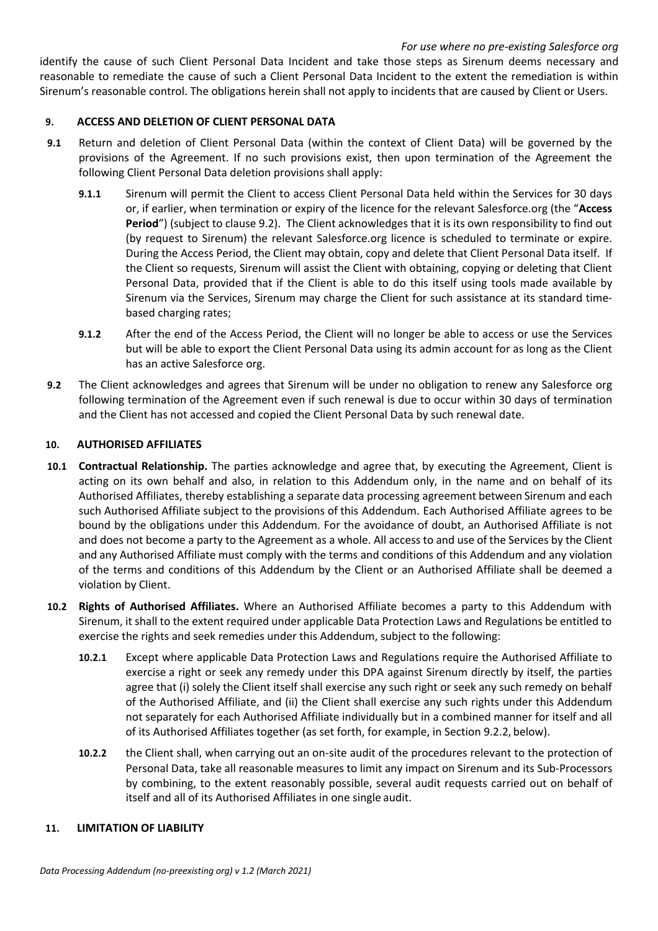identify the cause of such Client Personal Data Incident and take those steps as Sirenum deems necessary and reasonable to remediate the cause of such a Client Personal Data Incident to the extent the remediation is within Sirenum's reasonable control. The obligations herein shall not apply to incidents that are caused by Client or Users.

## **9. ACCESS AND DELETION OF CLIENT PERSONAL DATA**

- **9.1** Return and deletion of Client Personal Data (within the context of Client Data) will be governed by the provisions of the Agreement. If no such provisions exist, then upon termination of the Agreement the following Client Personal Data deletion provisions shall apply:
	- **9.1.1** Sirenum will permit the Client to access Client Personal Data held within the Services for 30 days or, if earlier, when termination or expiry of the licence for the relevant Salesforce.org (the "**Access**  Period") (subject to clause 9.2). The Client acknowledges that it is its own responsibility to find out (by request to Sirenum) the relevant Salesforce.org licence is scheduled to terminate or expire. During the Access Period, the Client may obtain, copy and delete that Client Personal Data itself. If the Client so requests, Sirenum will assist the Client with obtaining, copying or deleting that Client Personal Data, provided that if the Client is able to do this itself using tools made available by Sirenum via the Services, Sirenum may charge the Client for such assistance at its standard timebased charging rates;
	- **9.1.2** After the end of the Access Period, the Client will no longer be able to access or use the Services but will be able to export the Client Personal Data using its admin account for as long as the Client has an active Salesforce org.
- **9.2** The Client acknowledges and agrees that Sirenum will be under no obligation to renew any Salesforce org following termination of the Agreement even if such renewal is due to occur within 30 days of termination and the Client has not accessed and copied the Client Personal Data by such renewal date.

### **10. AUTHORISED AFFILIATES**

- **10.1 Contractual Relationship.** The parties acknowledge and agree that, by executing the Agreement, Client is acting on its own behalf and also, in relation to this Addendum only, in the name and on behalf of its Authorised Affiliates, thereby establishing a separate data processing agreement between Sirenum and each such Authorised Affiliate subject to the provisions of this Addendum. Each Authorised Affiliate agrees to be bound by the obligations under this Addendum. For the avoidance of doubt, an Authorised Affiliate is not and does not become a party to the Agreement as a whole. All access to and use of the Services by the Client and any Authorised Affiliate must comply with the terms and conditions of this Addendum and any violation of the terms and conditions of this Addendum by the Client or an Authorised Affiliate shall be deemed a violation by Client.
- **10.2 Rights of Authorised Affiliates.** Where an Authorised Affiliate becomes a party to this Addendum with Sirenum, it shall to the extent required under applicable Data Protection Laws and Regulations be entitled to exercise the rights and seek remedies under this Addendum, subject to the following:
	- **10.2.1** Except where applicable Data Protection Laws and Regulations require the Authorised Affiliate to exercise a right or seek any remedy under this DPA against Sirenum directly by itself, the parties agree that (i) solely the Client itself shall exercise any such right or seek any such remedy on behalf of the Authorised Affiliate, and (ii) the Client shall exercise any such rights under this Addendum not separately for each Authorised Affiliate individually but in a combined manner for itself and all of its Authorised Affiliates together (as set forth, for example, in Section 9.2.2, below).
	- **10.2.2** the Client shall, when carrying out an on-site audit of the procedures relevant to the protection of Personal Data, take all reasonable measures to limit any impact on Sirenum and its Sub-Processors by combining, to the extent reasonably possible, several audit requests carried out on behalf of itself and all of its Authorised Affiliates in one single audit.

## **11. LIMITATION OF LIABILITY**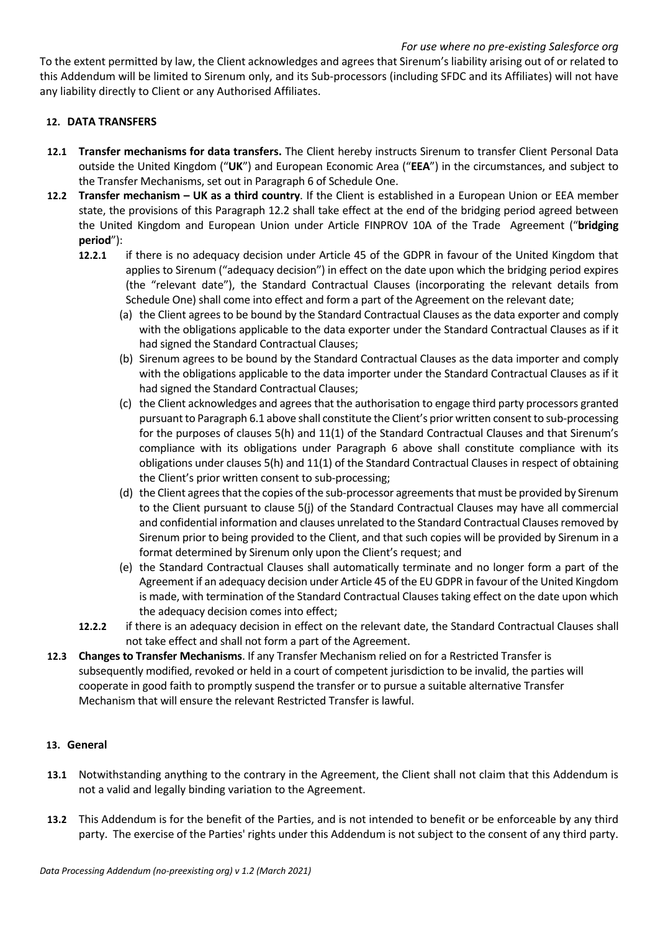### *For use where no pre-existing Salesforce org*

To the extent permitted by law, the Client acknowledges and agrees that Sirenum's liability arising out of or related to this Addendum will be limited to Sirenum only, and its Sub-processors (including SFDC and its Affiliates) will not have any liability directly to Client or any Authorised Affiliates.

## **12. DATA TRANSFERS**

- **12.1 Transfer mechanisms for data transfers.** The Client hereby instructs Sirenum to transfer Client Personal Data outside the United Kingdom ("**UK**") and European Economic Area ("**EEA**") in the circumstances, and subject to the Transfer Mechanisms, set out in Paragraph 6 of Schedule One.
- **12.2 Transfer mechanism – UK as a third country**. If the Client is established in a European Union or EEA member state, the provisions of this Paragraph 12.2 shall take effect at the end of the bridging period agreed between the United Kingdom and European Union under Article FINPROV 10A of the Trade Agreement ("**bridging period**"):
	- **12.2.1** if there is no adequacy decision under Article 45 of the GDPR in favour of the United Kingdom that applies to Sirenum ("adequacy decision") in effect on the date upon which the bridging period expires (the "relevant date"), the Standard Contractual Clauses (incorporating the relevant details from Schedule One) shall come into effect and form a part of the Agreement on the relevant date;
		- (a) the Client agrees to be bound by the Standard Contractual Clauses as the data exporter and comply with the obligations applicable to the data exporter under the Standard Contractual Clauses as if it had signed the Standard Contractual Clauses;
		- (b) Sirenum agrees to be bound by the Standard Contractual Clauses as the data importer and comply with the obligations applicable to the data importer under the Standard Contractual Clauses as if it had signed the Standard Contractual Clauses;
		- (c) the Client acknowledges and agrees that the authorisation to engage third party processors granted pursuant to Paragraph 6.1 above shall constitute the Client's prior written consent to sub-processing for the purposes of clauses 5(h) and 11(1) of the Standard Contractual Clauses and that Sirenum's compliance with its obligations under Paragraph 6 above shall constitute compliance with its obligations under clauses 5(h) and 11(1) of the Standard Contractual Clauses in respect of obtaining the Client's prior written consent to sub-processing;
		- (d) the Client agrees that the copies of the sub-processor agreements that must be provided by Sirenum to the Client pursuant to clause 5(j) of the Standard Contractual Clauses may have all commercial and confidential information and clauses unrelated to the Standard Contractual Clauses removed by Sirenum prior to being provided to the Client, and that such copies will be provided by Sirenum in a format determined by Sirenum only upon the Client's request; and
		- (e) the Standard Contractual Clauses shall automatically terminate and no longer form a part of the Agreement if an adequacy decision under Article 45 of the EU GDPR in favour of the United Kingdom is made, with termination of the Standard Contractual Clauses taking effect on the date upon which the adequacy decision comes into effect;
	- **12.2.2** if there is an adequacy decision in effect on the relevant date, the Standard Contractual Clauses shall not take effect and shall not form a part of the Agreement.
- **12.3 Changes to Transfer Mechanisms**. If any Transfer Mechanism relied on for a Restricted Transfer is subsequently modified, revoked or held in a court of competent jurisdiction to be invalid, the parties will cooperate in good faith to promptly suspend the transfer or to pursue a suitable alternative Transfer Mechanism that will ensure the relevant Restricted Transfer is lawful.

### **13. General**

- **13.1** Notwithstanding anything to the contrary in the Agreement, the Client shall not claim that this Addendum is not a valid and legally binding variation to the Agreement.
- **13.2** This Addendum is for the benefit of the Parties, and is not intended to benefit or be enforceable by any third party. The exercise of the Parties' rights under this Addendum is not subject to the consent of any third party.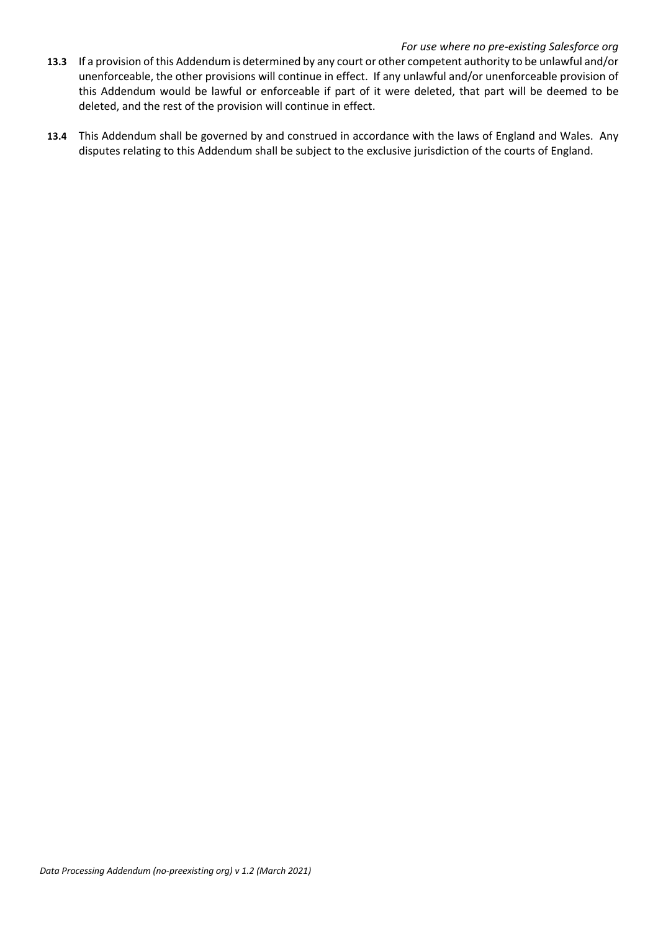#### *For use where no pre-existing Salesforce org*

- **13.3** If a provision of this Addendum is determined by any court or other competent authority to be unlawful and/or unenforceable, the other provisions will continue in effect. If any unlawful and/or unenforceable provision of this Addendum would be lawful or enforceable if part of it were deleted, that part will be deemed to be deleted, and the rest of the provision will continue in effect.
- **13.4** This Addendum shall be governed by and construed in accordance with the laws of England and Wales. Any disputes relating to this Addendum shall be subject to the exclusive jurisdiction of the courts of England.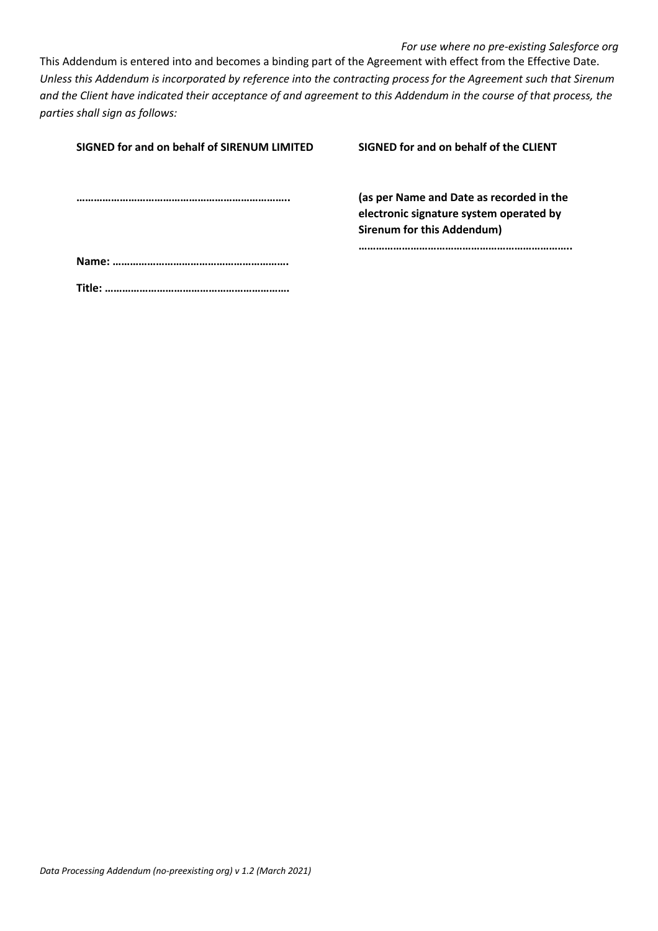*For use where no pre-existing Salesforce org* This Addendum is entered into and becomes a binding part of the Agreement with effect from the Effective Date. *Unless this Addendum is incorporated by reference into the contracting process for the Agreement such that Sirenum and the Client have indicated their acceptance of and agreement to this Addendum in the course of that process, the parties shall sign as follows:*

| SIGNED for and on behalf of SIRENUM LIMITED | SIGNED for and on behalf of the CLIENT                                                                            |
|---------------------------------------------|-------------------------------------------------------------------------------------------------------------------|
|                                             | (as per Name and Date as recorded in the<br>electronic signature system operated by<br>Sirenum for this Addendum) |
|                                             |                                                                                                                   |
| Title:                                      |                                                                                                                   |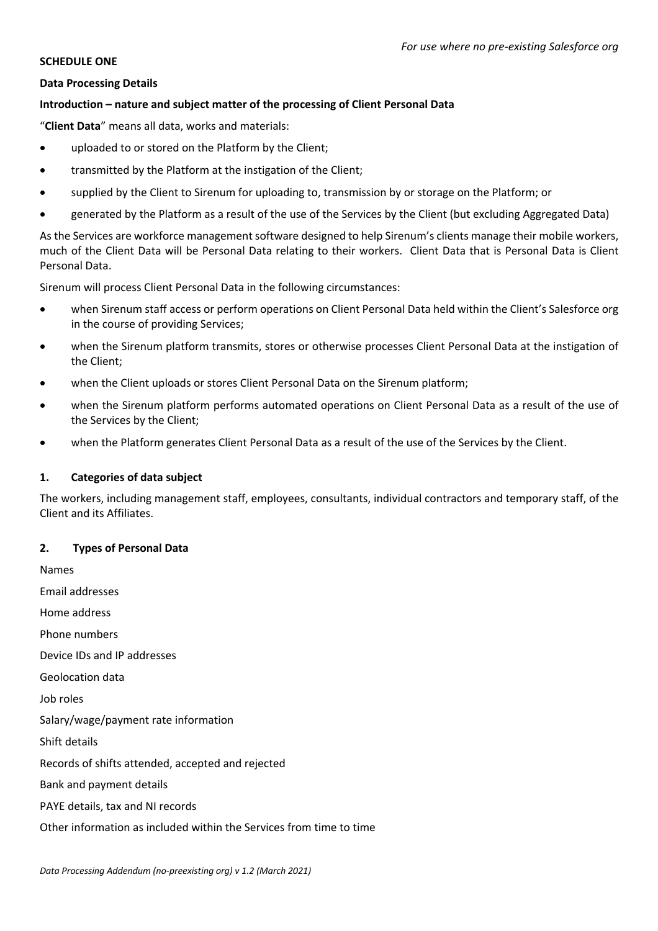#### **SCHEDULE ONE**

#### **Data Processing Details**

## **Introduction – nature and subject matter of the processing of Client Personal Data**

"**Client Data**" means all data, works and materials:

- uploaded to or stored on the Platform by the Client;
- transmitted by the Platform at the instigation of the Client;
- supplied by the Client to Sirenum for uploading to, transmission by or storage on the Platform; or
- generated by the Platform as a result of the use of the Services by the Client (but excluding Aggregated Data)

As the Services are workforce management software designed to help Sirenum's clients manage their mobile workers, much of the Client Data will be Personal Data relating to their workers. Client Data that is Personal Data is Client Personal Data.

Sirenum will process Client Personal Data in the following circumstances:

- when Sirenum staff access or perform operations on Client Personal Data held within the Client's Salesforce org in the course of providing Services;
- when the Sirenum platform transmits, stores or otherwise processes Client Personal Data at the instigation of the Client;
- when the Client uploads or stores Client Personal Data on the Sirenum platform;
- when the Sirenum platform performs automated operations on Client Personal Data as a result of the use of the Services by the Client;
- when the Platform generates Client Personal Data as a result of the use of the Services by the Client.

### **1. Categories of data subject**

The workers, including management staff, employees, consultants, individual contractors and temporary staff, of the Client and its Affiliates.

### **2. Types of Personal Data**

Names Email addresses Home address Phone numbers Device IDs and IP addresses Geolocation data Job roles Salary/wage/payment rate information Shift details Records of shifts attended, accepted and rejected Bank and payment details PAYE details, tax and NI records Other information as included within the Services from time to time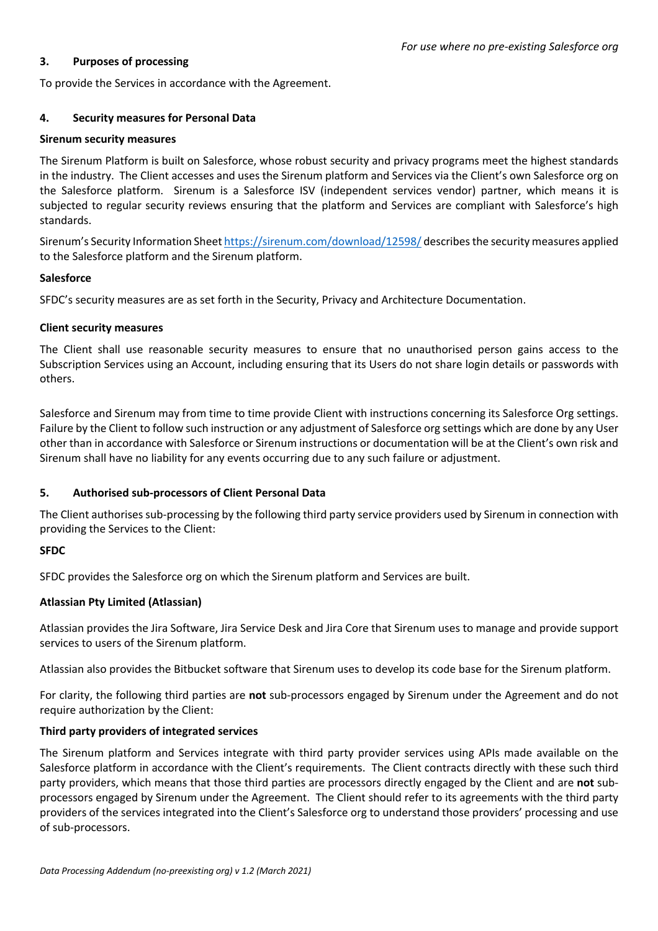### **3. Purposes of processing**

To provide the Services in accordance with the Agreement.

## **4. Security measures for Personal Data**

### **Sirenum security measures**

The Sirenum Platform is built on Salesforce, whose robust security and privacy programs meet the highest standards in the industry. The Client accesses and uses the Sirenum platform and Services via the Client's own Salesforce org on the Salesforce platform. Sirenum is a Salesforce ISV (independent services vendor) partner, which means it is subjected to regular security reviews ensuring that the platform and Services are compliant with Salesforce's high standards.

Sirenum's Security Information Sheet https://sirenum.com/download/12598/ describes the security measures applied to the Salesforce platform and the Sirenum platform.

## **Salesforce**

SFDC's security measures are as set forth in the Security, Privacy and Architecture Documentation.

## **Client security measures**

The Client shall use reasonable security measures to ensure that no unauthorised person gains access to the Subscription Services using an Account, including ensuring that its Users do not share login details or passwords with others.

Salesforce and Sirenum may from time to time provide Client with instructions concerning its Salesforce Org settings. Failure by the Client to follow such instruction or any adjustment of Salesforce org settings which are done by any User other than in accordance with Salesforce or Sirenum instructions or documentation will be at the Client's own risk and Sirenum shall have no liability for any events occurring due to any such failure or adjustment.

## **5. Authorised sub-processors of Client Personal Data**

The Client authorises sub-processing by the following third party service providers used by Sirenum in connection with providing the Services to the Client:

## **SFDC**

SFDC provides the Salesforce org on which the Sirenum platform and Services are built.

## **Atlassian Pty Limited (Atlassian)**

Atlassian provides the Jira Software, Jira Service Desk and Jira Core that Sirenum uses to manage and provide support services to users of the Sirenum platform.

Atlassian also provides the Bitbucket software that Sirenum uses to develop its code base for the Sirenum platform.

For clarity, the following third parties are **not** sub-processors engaged by Sirenum under the Agreement and do not require authorization by the Client:

## **Third party providers of integrated services**

The Sirenum platform and Services integrate with third party provider services using APIs made available on the Salesforce platform in accordance with the Client's requirements. The Client contracts directly with these such third party providers, which means that those third parties are processors directly engaged by the Client and are **not** subprocessors engaged by Sirenum under the Agreement. The Client should refer to its agreements with the third party providers of the services integrated into the Client's Salesforce org to understand those providers' processing and use of sub-processors.